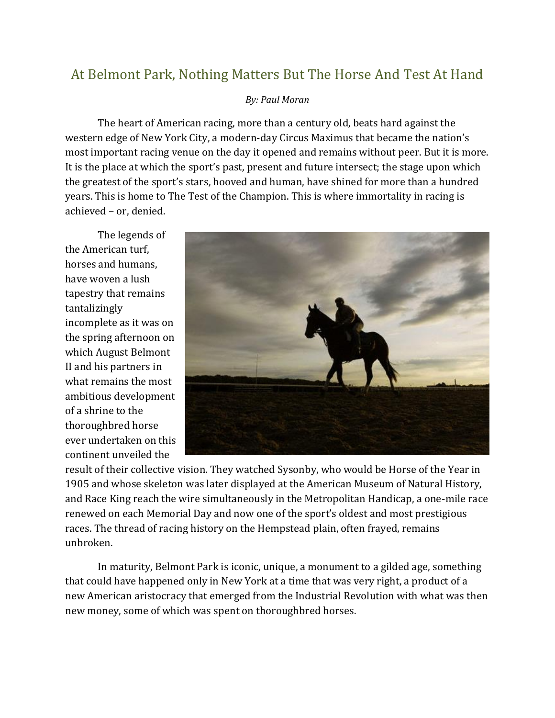## At Belmont Park, Nothing Matters But The Horse And Test At Hand

## *By: Paul Moran*

The heart of American racing, more than a century old, beats hard against the western edge of New York City, a modern-day Circus Maximus that became the nation's most important racing venue on the day it opened and remains without peer. But it is more. It is the place at which the sport's past, present and future intersect; the stage upon which the greatest of the sport's stars, hooved and human, have shined for more than a hundred years. This is home to The Test of the Champion. This is where immortality in racing is achieved – or, denied.

The legends of the American turf, horses and humans, have woven a lush tapestry that remains tantalizingly incomplete as it was on the spring afternoon on which August Belmont II and his partners in what remains the most ambitious development of a shrine to the thoroughbred horse ever undertaken on this continent unveiled the



result of their collective vision. They watched Sysonby, who would be Horse of the Year in 1905 and whose skeleton was later displayed at the American Museum of Natural History, and Race King reach the wire simultaneously in the Metropolitan Handicap, a one-mile race renewed on each Memorial Day and now one of the sport's oldest and most prestigious races. The thread of racing history on the Hempstead plain, often frayed, remains unbroken.

In maturity, Belmont Park is iconic, unique, a monument to a gilded age, something that could have happened only in New York at a time that was very right, a product of a new American aristocracy that emerged from the Industrial Revolution with what was then new money, some of which was spent on thoroughbred horses.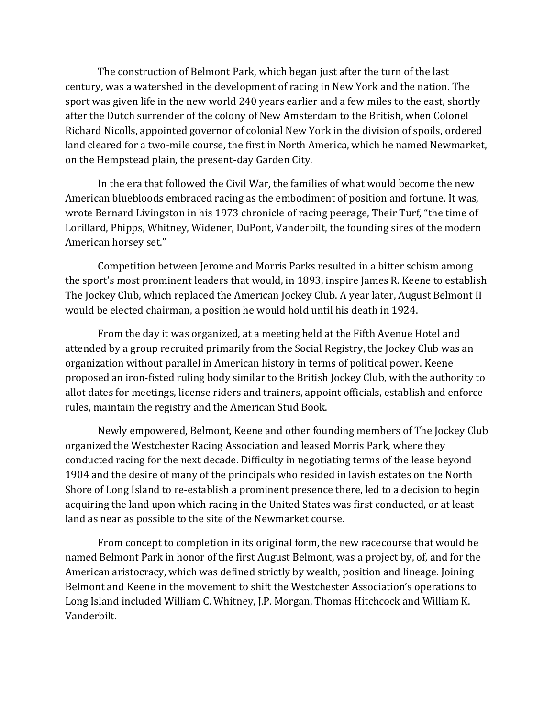The construction of Belmont Park, which began just after the turn of the last century, was a watershed in the development of racing in New York and the nation. The sport was given life in the new world 240 years earlier and a few miles to the east, shortly after the Dutch surrender of the colony of New Amsterdam to the British, when Colonel Richard Nicolls, appointed governor of colonial New York in the division of spoils, ordered land cleared for a two-mile course, the first in North America, which he named Newmarket, on the Hempstead plain, the present-day Garden City.

In the era that followed the Civil War, the families of what would become the new American bluebloods embraced racing as the embodiment of position and fortune. It was, wrote Bernard Livingston in his 1973 chronicle of racing peerage, Their Turf, "the time of Lorillard, Phipps, Whitney, Widener, DuPont, Vanderbilt, the founding sires of the modern American horsey set."

Competition between Jerome and Morris Parks resulted in a bitter schism among the sport's most prominent leaders that would, in 1893, inspire James R. Keene to establish The Jockey Club, which replaced the American Jockey Club. A year later, August Belmont II would be elected chairman, a position he would hold until his death in 1924.

From the day it was organized, at a meeting held at the Fifth Avenue Hotel and attended by a group recruited primarily from the Social Registry, the Jockey Club was an organization without parallel in American history in terms of political power. Keene proposed an iron-fisted ruling body similar to the British Jockey Club, with the authority to allot dates for meetings, license riders and trainers, appoint officials, establish and enforce rules, maintain the registry and the American Stud Book.

Newly empowered, Belmont, Keene and other founding members of The Jockey Club organized the Westchester Racing Association and leased Morris Park, where they conducted racing for the next decade. Difficulty in negotiating terms of the lease beyond 1904 and the desire of many of the principals who resided in lavish estates on the North Shore of Long Island to re-establish a prominent presence there, led to a decision to begin acquiring the land upon which racing in the United States was first conducted, or at least land as near as possible to the site of the Newmarket course.

From concept to completion in its original form, the new racecourse that would be named Belmont Park in honor of the first August Belmont, was a project by, of, and for the American aristocracy, which was defined strictly by wealth, position and lineage. Joining Belmont and Keene in the movement to shift the Westchester Association's operations to Long Island included William C. Whitney, J.P. Morgan, Thomas Hitchcock and William K. Vanderbilt.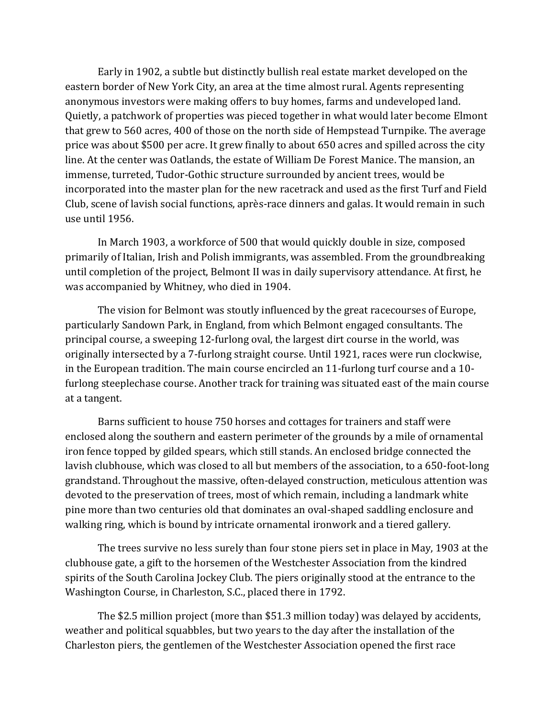Early in 1902, a subtle but distinctly bullish real estate market developed on the eastern border of New York City, an area at the time almost rural. Agents representing anonymous investors were making offers to buy homes, farms and undeveloped land. Quietly, a patchwork of properties was pieced together in what would later become Elmont that grew to 560 acres, 400 of those on the north side of Hempstead Turnpike. The average price was about \$500 per acre. It grew finally to about 650 acres and spilled across the city line. At the center was Oatlands, the estate of William De Forest Manice. The mansion, an immense, turreted, Tudor-Gothic structure surrounded by ancient trees, would be incorporated into the master plan for the new racetrack and used as the first Turf and Field Club, scene of lavish social functions, après-race dinners and galas. It would remain in such use until 1956.

In March 1903, a workforce of 500 that would quickly double in size, composed primarily of Italian, Irish and Polish immigrants, was assembled. From the groundbreaking until completion of the project, Belmont II was in daily supervisory attendance. At first, he was accompanied by Whitney, who died in 1904.

The vision for Belmont was stoutly influenced by the great racecourses of Europe, particularly Sandown Park, in England, from which Belmont engaged consultants. The principal course, a sweeping 12-furlong oval, the largest dirt course in the world, was originally intersected by a 7-furlong straight course. Until 1921, races were run clockwise, in the European tradition. The main course encircled an 11-furlong turf course and a 10 furlong steeplechase course. Another track for training was situated east of the main course at a tangent.

Barns sufficient to house 750 horses and cottages for trainers and staff were enclosed along the southern and eastern perimeter of the grounds by a mile of ornamental iron fence topped by gilded spears, which still stands. An enclosed bridge connected the lavish clubhouse, which was closed to all but members of the association, to a 650-foot-long grandstand. Throughout the massive, often-delayed construction, meticulous attention was devoted to the preservation of trees, most of which remain, including a landmark white pine more than two centuries old that dominates an oval-shaped saddling enclosure and walking ring, which is bound by intricate ornamental ironwork and a tiered gallery.

The trees survive no less surely than four stone piers set in place in May, 1903 at the clubhouse gate, a gift to the horsemen of the Westchester Association from the kindred spirits of the South Carolina Jockey Club. The piers originally stood at the entrance to the Washington Course, in Charleston, S.C., placed there in 1792.

The \$2.5 million project (more than \$51.3 million today) was delayed by accidents, weather and political squabbles, but two years to the day after the installation of the Charleston piers, the gentlemen of the Westchester Association opened the first race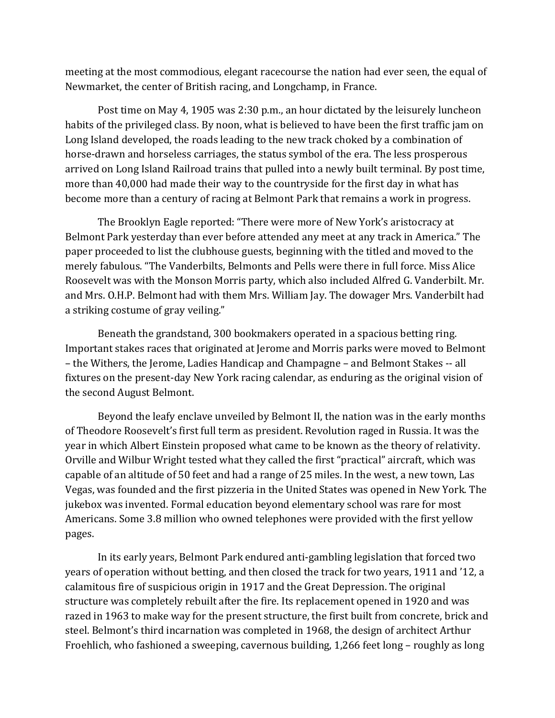meeting at the most commodious, elegant racecourse the nation had ever seen, the equal of Newmarket, the center of British racing, and Longchamp, in France.

Post time on May 4, 1905 was 2:30 p.m., an hour dictated by the leisurely luncheon habits of the privileged class. By noon, what is believed to have been the first traffic jam on Long Island developed, the roads leading to the new track choked by a combination of horse-drawn and horseless carriages, the status symbol of the era. The less prosperous arrived on Long Island Railroad trains that pulled into a newly built terminal. By post time, more than 40,000 had made their way to the countryside for the first day in what has become more than a century of racing at Belmont Park that remains a work in progress.

The Brooklyn Eagle reported: "There were more of New York's aristocracy at Belmont Park yesterday than ever before attended any meet at any track in America." The paper proceeded to list the clubhouse guests, beginning with the titled and moved to the merely fabulous. "The Vanderbilts, Belmonts and Pells were there in full force. Miss Alice Roosevelt was with the Monson Morris party, which also included Alfred G. Vanderbilt. Mr. and Mrs. O.H.P. Belmont had with them Mrs. William Jay. The dowager Mrs. Vanderbilt had a striking costume of gray veiling."

Beneath the grandstand, 300 bookmakers operated in a spacious betting ring. Important stakes races that originated at Jerome and Morris parks were moved to Belmont – the Withers, the Jerome, Ladies Handicap and Champagne – and Belmont Stakes -- all fixtures on the present-day New York racing calendar, as enduring as the original vision of the second August Belmont.

Beyond the leafy enclave unveiled by Belmont II, the nation was in the early months of Theodore Roosevelt's first full term as president. Revolution raged in Russia. It was the year in which Albert Einstein proposed what came to be known as the theory of relativity. Orville and Wilbur Wright tested what they called the first "practical" aircraft, which was capable of an altitude of 50 feet and had a range of 25 miles. In the west, a new town, Las Vegas, was founded and the first pizzeria in the United States was opened in New York. The jukebox was invented. Formal education beyond elementary school was rare for most Americans. Some 3.8 million who owned telephones were provided with the first yellow pages.

In its early years, Belmont Park endured anti-gambling legislation that forced two years of operation without betting, and then closed the track for two years, 1911 and '12, a calamitous fire of suspicious origin in 1917 and the Great Depression. The original structure was completely rebuilt after the fire. Its replacement opened in 1920 and was razed in 1963 to make way for the present structure, the first built from concrete, brick and steel. Belmont's third incarnation was completed in 1968, the design of architect Arthur Froehlich, who fashioned a sweeping, cavernous building, 1,266 feet long – roughly as long